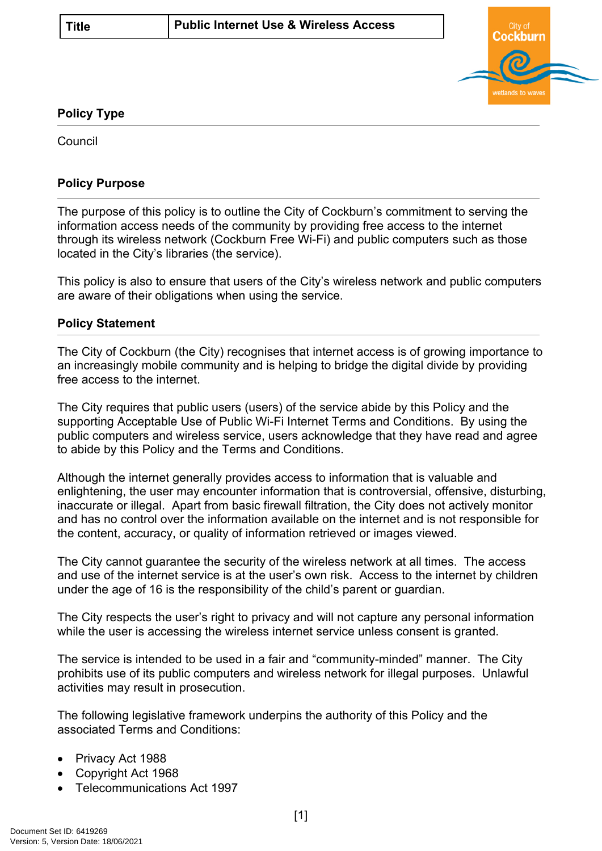

## **Policy Type**

Council

## **Policy Purpose**

The purpose of this policy is to outline the City of Cockburn's commitment to serving the information access needs of the community by providing free access to the internet through its wireless network (Cockburn Free Wi-Fi) and public computers such as those located in the City's libraries (the service).

This policy is also to ensure that users of the City's wireless network and public computers are aware of their obligations when using the service.

## **[Policy Statement](#page-0-0)**

<span id="page-0-0"></span>The City of Cockburn (the City) recognises that internet access is of growing importance to an increasingly mobile community and is helping to bridge the digital divide by providing free access to the internet.

The City requires that public users (users) of the service abide by this Policy and the supporting Acceptable Use of Public Wi-Fi Internet Terms and Conditions. By using the public computers and wireless service, users acknowledge that they have read and agree to abide by this Policy and the Terms and Conditions.

Although the internet generally provides access to information that is valuable and enlightening, the user may encounter information that is controversial, offensive, disturbing, inaccurate or illegal. Apart from basic firewall filtration, the City does not actively monitor and has no control over the information available on the internet and is not responsible for the content, accuracy, or quality of information retrieved or images viewed.

The City cannot guarantee the security of the wireless network at all times. The access and use of the internet service is at the user's own risk. Access to the internet by children under the age of 16 is the responsibility of the child's parent or guardian.

The City respects the user's right to privacy and will not capture any personal information while the user is accessing the wireless internet service unless consent is granted.

The service is intended to be used in a fair and "community-minded" manner. The City prohibits use of its public computers and wireless network for illegal purposes. Unlawful activities may result in prosecution.

The following legislative framework underpins the authority of this Policy and the associated Terms and Conditions:

- Privacy Act 1988
- Copyright Act 1968
- Telecommunications Act 1997